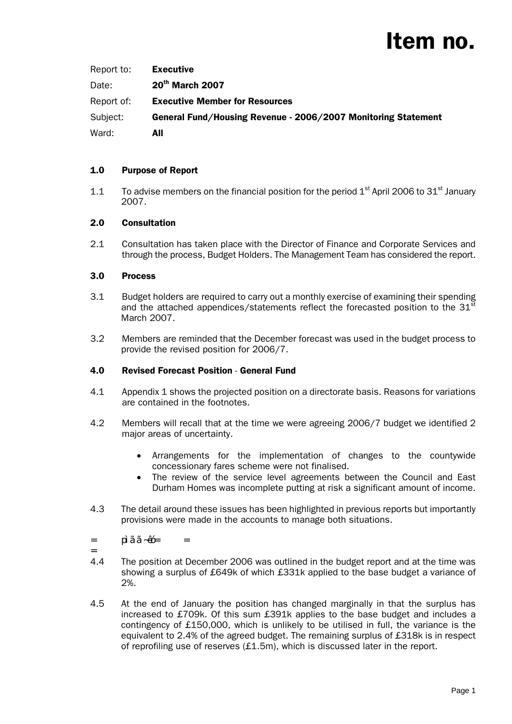| Report to: | <b>Executive</b>                                              |
|------------|---------------------------------------------------------------|
| Date:      | 20 <sup>th</sup> March 2007                                   |
| Report of: | <b>Executive Member for Resources</b>                         |
| Subject:   | General Fund/Housing Revenue - 2006/2007 Monitoring Statement |
| Ward:      | All                                                           |

# 1.0 Purpose of Report

1.1 To advise members on the financial position for the period  $1<sup>st</sup>$  April 2006 to 31 $<sup>st</sup>$  January</sup> 2007.

# 2.0 Consultation

2.1 Consultation has taken place with the Director of Finance and Corporate Services and through the process, Budget Holders. The Management Team has considered the report.

### 3.0 Process

- 3.1 Budget holders are required to carry out a monthly exercise of examining their spending and the attached appendices/statements reflect the forecasted position to the  $31<sup>st</sup>$ March 2007.
- 3.2 Members are reminded that the December forecast was used in the budget process to provide the revised position for 2006/7.

# 4.0 Revised Forecast Position - General Fund

- 4.1 Appendix 1 shows the projected position on a directorate basis. Reasons for variations are contained in the footnotes.
- 4.2 Members will recall that at the time we were agreeing 2006/7 budget we identified 2 major areas of uncertainty.
	- Arrangements for the implementation of changes to the countywide concessionary fares scheme were not finalised.
	- The review of the service level agreements between the Council and East Durham Homes was incomplete putting at risk a significant amount of income.
- 4.3 The detail around these issues has been highlighted in previous reports but importantly provisions were made in the accounts to manage both situations.
- *= pìãã~êó= =*
- *=*
- 4.4 The position at December 2006 was outlined in the budget report and at the time was showing a surplus of £649k of which £331k applied to the base budget a variance of 2%.
- 4.5 At the end of January the position has changed marginally in that the surplus has increased to £709k. Of this sum £391k applies to the base budget and includes a contingency of £150,000, which is unlikely to be utilised in full, the variance is the equivalent to 2.4% of the agreed budget. The remaining surplus of £318k is in respect of reprofiling use of reserves  $(E1.5m)$ , which is discussed later in the report.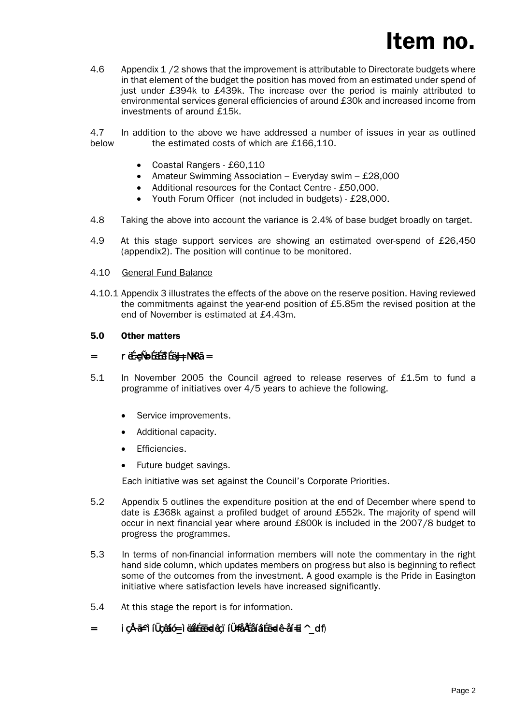4.6 Appendix 1 /2 shows that the improvement is attributable to Directorate budgets where in that element of the budget the position has moved from an estimated under spend of just under £394k to £439k. The increase over the period is mainly attributed to environmental services general efficiencies of around £30k and increased income from investments of around £15k.

4.7 In addition to the above we have addressed a number of issues in year as outlined below the estimated costs of which are £166,110.

- Coastal Rangers £60,110
- Amateur Swimming Association Everyday swim £28,000
- Additional resources for the Contact Centre £50,000.
- Youth Forum Officer (not included in budgets) £28,000.
- 4.8 Taking the above into account the variance is 2.4% of base budget broadly on target.
- 4.9 At this stage support services are showing an estimated over-spend of £26,450 (appendix2). The position will continue to be monitored.

#### 4.10 General Fund Balance

4.10.1 Appendix 3 illustrates the effects of the above on the reserve position. Having reviewed the commitments against the year-end position of £5.85m the revised position at the end of November is estimated at £4.43m.

#### 5.0 Other matters

### *= rëÉ=çÑ=oÉëÉêîÉë=J=¡NKRã=*

- 5.1 In November 2005 the Council agreed to release reserves of £1.5m to fund a programme of initiatives over 4/5 years to achieve the following.
	- Service improvements.
	- Additional capacity.
	- Efficiencies.
	- Future budget savings.

Each initiative was set against the Council's Corporate Priorities.

- 5.2 Appendix 5 outlines the expenditure position at the end of December where spend to date is £368k against a profiled budget of around £552k. The majority of spend will occur in next financial year where around £800k is included in the 2007/8 budget to progress the programmes.
- 5.3 In terms of non-financial information members will note the commentary in the right hand side column, which updates members on progress but also is beginning to reflect some of the outcomes from the investment. A good example is the Pride in Easington initiative where satisfaction levels have increased significantly.
- 5.4 At this stage the report is for information.
- *= içÅ~ä=^ìíÜçêáíó=\_ìëáåÉëë=dêçïíÜ=fåÅÉåíáîÉë=dê~åí=Ei^\_df*)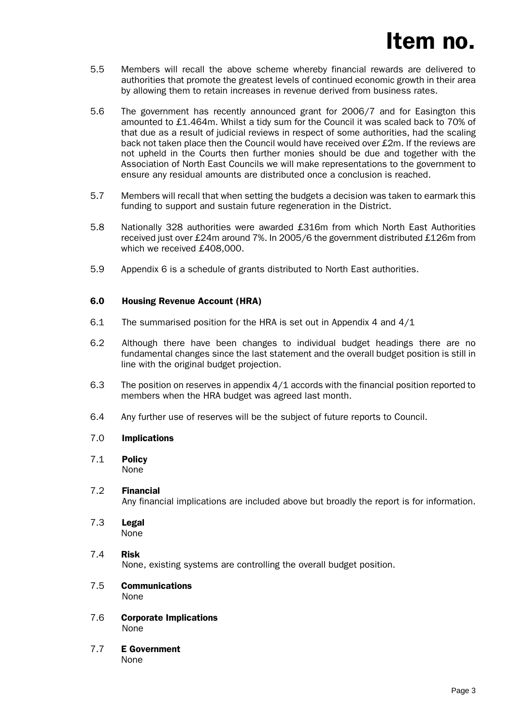- 5.5 Members will recall the above scheme whereby financial rewards are delivered to authorities that promote the greatest levels of continued economic growth in their area by allowing them to retain increases in revenue derived from business rates.
- 5.6 The government has recently announced grant for 2006/7 and for Easington this amounted to £1.464m. Whilst a tidy sum for the Council it was scaled back to 70% of that due as a result of judicial reviews in respect of some authorities, had the scaling back not taken place then the Council would have received over £2m. If the reviews are not upheld in the Courts then further monies should be due and together with the Association of North East Councils we will make representations to the government to ensure any residual amounts are distributed once a conclusion is reached.
- 5.7 Members will recall that when setting the budgets a decision was taken to earmark this funding to support and sustain future regeneration in the District.
- 5.8 Nationally 328 authorities were awarded £316m from which North East Authorities received just over £24m around 7%. In 2005/6 the government distributed £126m from which we received £408,000.
- 5.9 Appendix 6 is a schedule of grants distributed to North East authorities.

### 6.0 Housing Revenue Account (HRA)

- 6.1 The summarised position for the HRA is set out in Appendix 4 and 4/1
- 6.2 Although there have been changes to individual budget headings there are no fundamental changes since the last statement and the overall budget position is still in line with the original budget projection.
- 6.3 The position on reserves in appendix 4/1 accords with the financial position reported to members when the HRA budget was agreed last month.
- 6.4 Any further use of reserves will be the subject of future reports to Council.

### 7.0 Implications

7.1 Policy None

### 7.2 Financial

Any financial implications are included above but broadly the report is for information.

- 7.3 Legal None
- 7.4 Risk None, existing systems are controlling the overall budget position.
- 7.5 Communications None
- 7.6 Corporate Implications None
- 7.7 E Government None